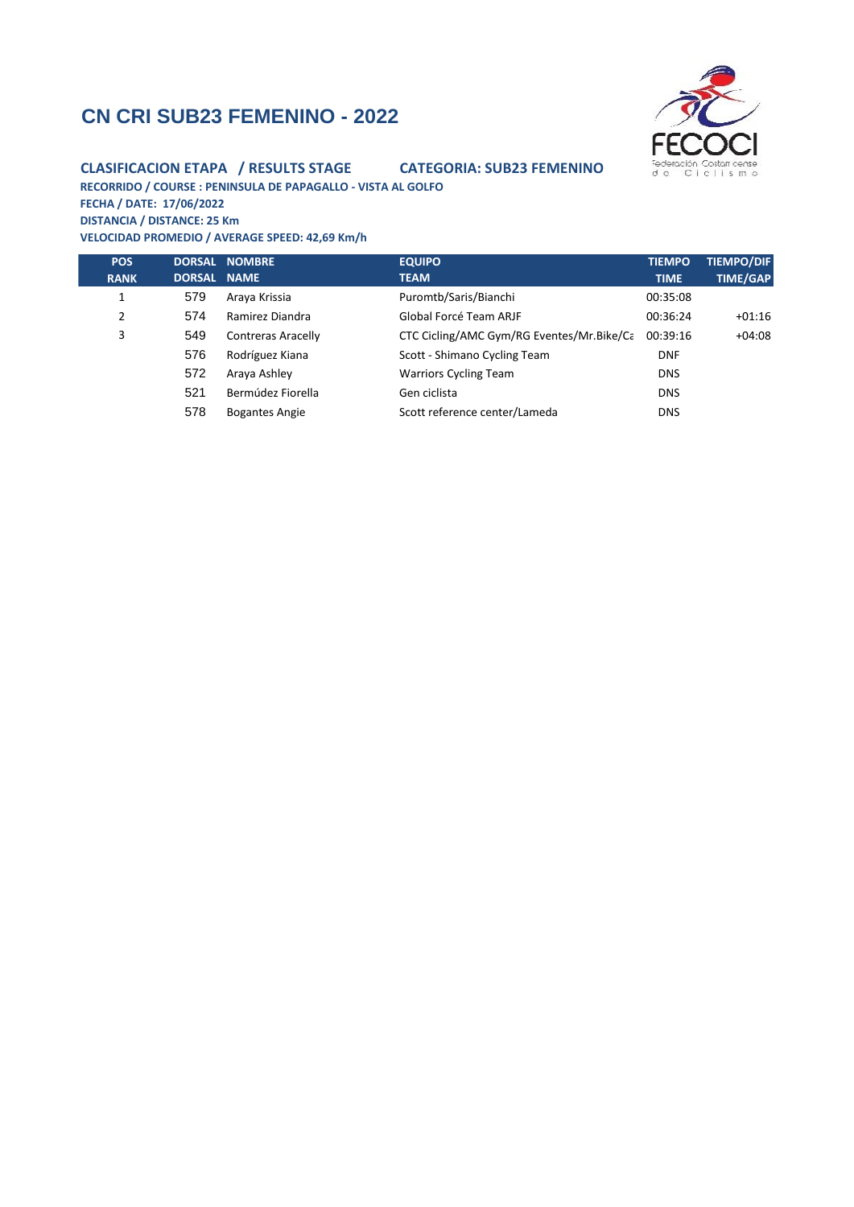# **CN CRI SUB23 FEMENINO - 2022**



#### **CLASIFICACION ETAPA / RESULTS STAGE CATEGORIA: SUB23 FEMENINO**

**RECORRIDO / COURSE : PENINSULA DE PAPAGALLO - VISTA AL GOLFO FECHA / DATE: 17/06/2022**

**DISTANCIA / DISTANCE: 25 Km VELOCIDAD PROMEDIO / AVERAGE SPEED: 42,69 Km/h**

| <b>POS</b><br><b>RANK</b> | <b>DORSAL</b><br><b>DORSAL</b> | <b>NOMBRE</b><br><b>NAME</b> | <b>EQUIPO</b><br><b>TEAM</b>              | <b>TIEMPO</b><br><b>TIME</b> | <b>TIEMPO/DIF</b><br><b>TIME/GAP</b> |
|---------------------------|--------------------------------|------------------------------|-------------------------------------------|------------------------------|--------------------------------------|
| 1                         | 579                            | Araya Krissia                | Puromtb/Saris/Bianchi                     | 00:35:08                     |                                      |
| 2                         | 574                            | Ramirez Diandra              | Global Forcé Team ARJF                    | 00:36:24                     | $+01:16$                             |
| 3                         | 549                            | <b>Contreras Aracelly</b>    | CTC Cicling/AMC Gym/RG Eventes/Mr.Bike/Ca | 00:39:16                     | $+04:08$                             |
|                           | 576                            | Rodríguez Kiana              | Scott - Shimano Cycling Team              | <b>DNF</b>                   |                                      |
|                           | 572                            | Araya Ashley                 | <b>Warriors Cycling Team</b>              | <b>DNS</b>                   |                                      |
|                           | 521                            | Bermúdez Fiorella            | Gen ciclista                              | <b>DNS</b>                   |                                      |
|                           | 578                            | <b>Bogantes Angie</b>        | Scott reference center/Lameda             | <b>DNS</b>                   |                                      |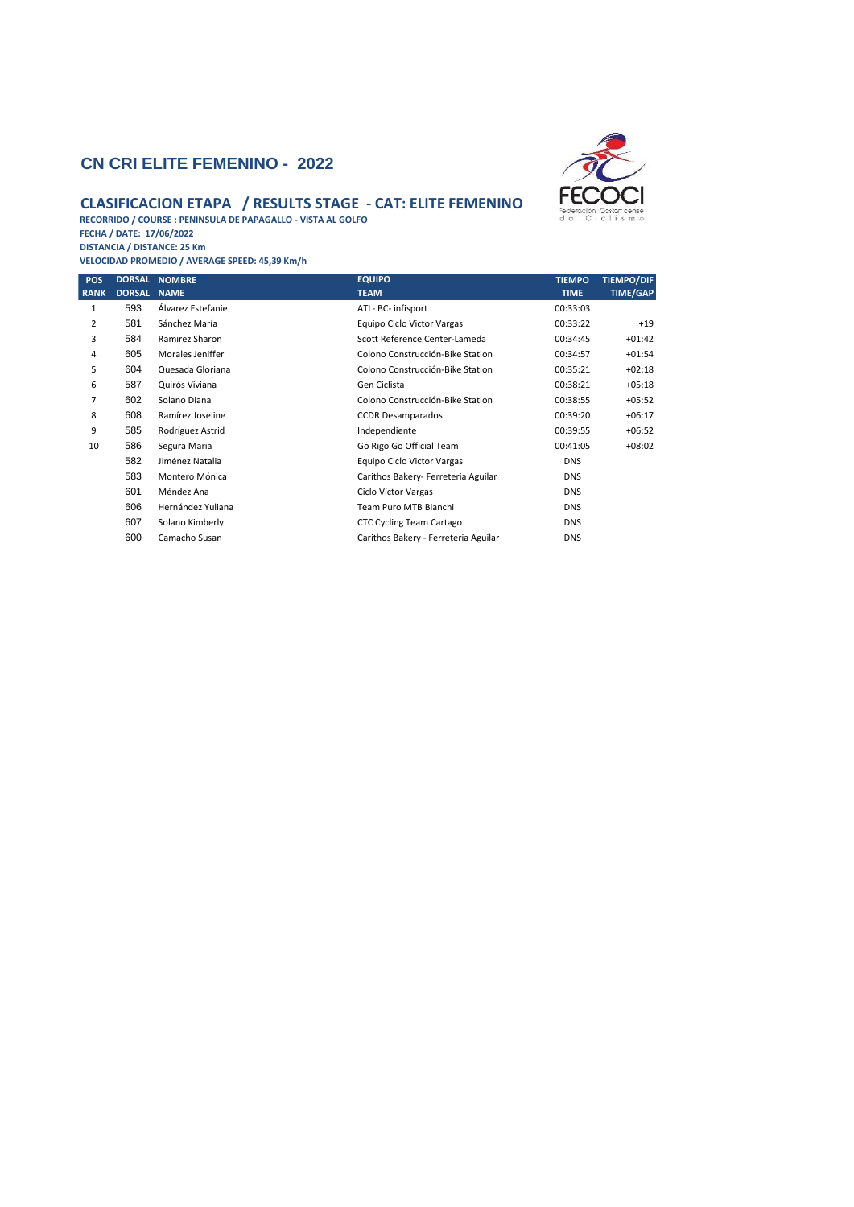#### **CN CRI ELITE FEMENINO - 2022**



### **CLASIFICACION ETAPA / RESULTS STAGE - CAT: ELITE FEMENINO**

**RECORRIDO / COURSE : PENINSULA DE PAPAGALLO - VISTA AL GOLFO FECHA / DATE: 17/06/2022 DISTANCIA / DISTANCE: 25 Km**

**VELOCIDAD PROMEDIO / AVERAGE SPEED: 45,39 Km/h**

| <b>POS</b>     | <b>DORSAL</b> | <b>NOMBRE</b>     | <b>EQUIPO</b>                        | <b>TIEMPO</b> | <b>TIEMPO/DIF</b> |
|----------------|---------------|-------------------|--------------------------------------|---------------|-------------------|
| <b>RANK</b>    | <b>DORSAL</b> | <b>NAME</b>       | <b>TEAM</b>                          | <b>TIME</b>   | <b>TIME/GAP</b>   |
| 1              | 593           | Álvarez Estefanie | ATL- BC- infisport                   | 00:33:03      |                   |
| 2              | 581           | Sánchez María     | Equipo Ciclo Victor Vargas           | 00:33:22      | $+19$             |
| 3              | 584           | Ramirez Sharon    | Scott Reference Center-Lameda        | 00:34:45      | $+01:42$          |
| 4              | 605           | Morales Jeniffer  | Colono Construcción-Bike Station     | 00:34:57      | $+01:54$          |
| 5              | 604           | Quesada Gloriana  | Colono Construcción-Bike Station     | 00:35:21      | $+02:18$          |
| 6              | 587           | Quirós Viviana    | Gen Ciclista                         | 00:38:21      | $+05:18$          |
| $\overline{7}$ | 602           | Solano Diana      | Colono Construcción-Bike Station     | 00:38:55      | $+05:52$          |
| 8              | 608           | Ramírez Joseline  | <b>CCDR Desamparados</b>             | 00:39:20      | $+06:17$          |
| 9              | 585           | Rodríguez Astrid  | Independiente                        | 00:39:55      | $+06:52$          |
| 10             | 586           | Segura Maria      | Go Rigo Go Official Team             | 00:41:05      | $+08:02$          |
|                | 582           | Jiménez Natalia   | Equipo Ciclo Victor Vargas           | <b>DNS</b>    |                   |
|                | 583           | Montero Mónica    | Carithos Bakery- Ferreteria Aguilar  | <b>DNS</b>    |                   |
|                | 601           | Méndez Ana        | Ciclo Víctor Vargas                  | <b>DNS</b>    |                   |
|                | 606           | Hernández Yuliana | Team Puro MTB Bianchi                | <b>DNS</b>    |                   |
|                | 607           | Solano Kimberly   | CTC Cycling Team Cartago             | <b>DNS</b>    |                   |
|                | 600           | Camacho Susan     | Carithos Bakery - Ferreteria Aguilar | <b>DNS</b>    |                   |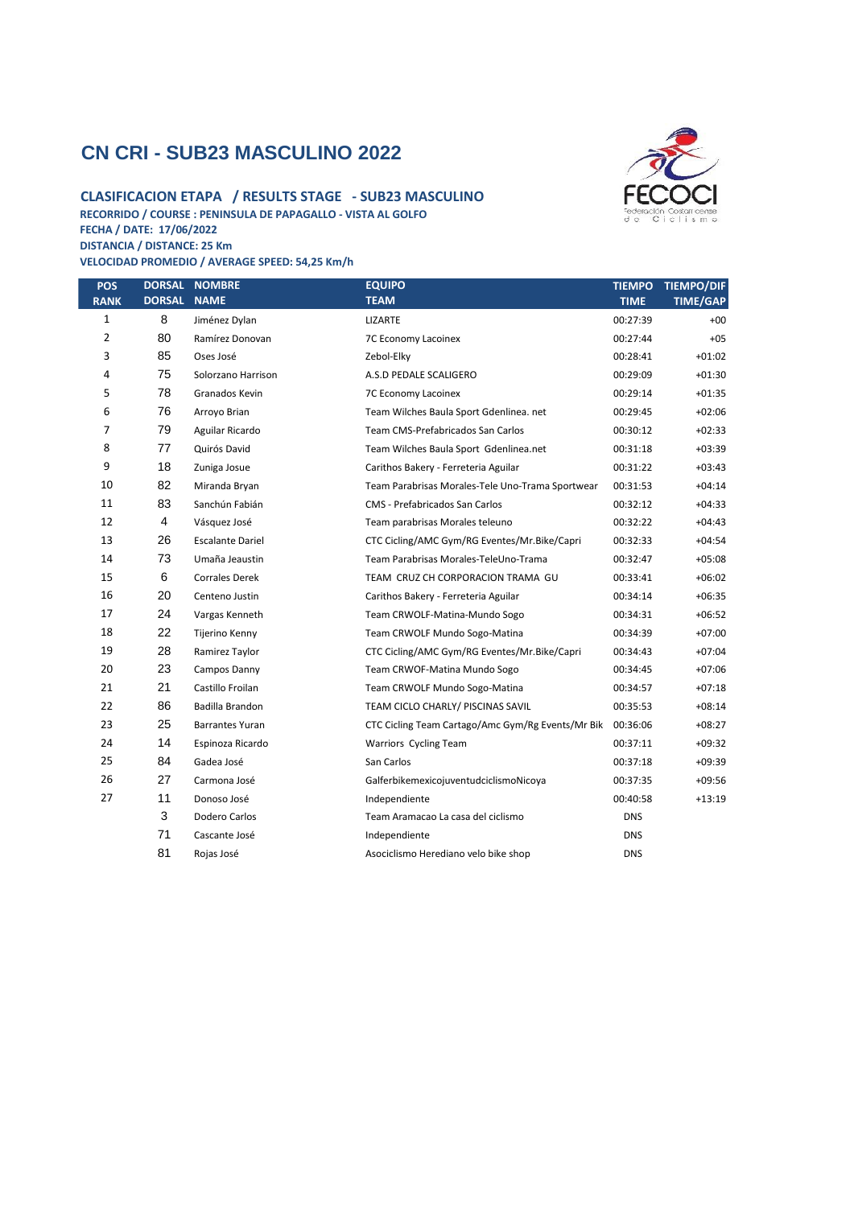## **CN CRI - SUB23 MASCULINO 2022**

#### **CLASIFICACION ETAPA / RESULTS STAGE - SUB23 MASCULINO RECORRIDO / COURSE : PENINSULA DE PAPAGALLO - VISTA AL GOLFO FECHA / DATE: 17/06/2022 DISTANCIA / DISTANCE: 25 Km**

**VELOCIDAD PROMEDIO / AVERAGE SPEED: 54,25 Km/h**



| <b>POS</b><br><b>RANK</b> | <b>DORSAL</b><br><b>DORSAL</b> | <b>NOMBRE</b><br><b>NAME</b> | <b>EQUIPO</b><br><b>TEAM</b>                      | <b>TIEMPO</b><br><b>TIME</b> | <b>TIEMPO/DIF</b><br><b>TIME/GAP</b> |
|---------------------------|--------------------------------|------------------------------|---------------------------------------------------|------------------------------|--------------------------------------|
| 1                         | 8                              | Jiménez Dylan                | <b>LIZARTE</b>                                    | 00:27:39                     | $+00$                                |
| $\overline{2}$            | 80                             | Ramírez Donovan              | 7C Economy Lacoinex                               | 00:27:44                     | $+05$                                |
| 3                         | 85                             | Oses José                    | Zebol-Elky                                        | 00:28:41                     | $+01:02$                             |
| 4                         | 75                             | Solorzano Harrison           | A.S.D PEDALE SCALIGERO                            | 00:29:09                     | $+01:30$                             |
| 5                         | 78                             | Granados Kevin               | 7C Economy Lacoinex                               | 00:29:14                     | $+01:35$                             |
| 6                         | 76                             | Arroyo Brian                 | Team Wilches Baula Sport Gdenlinea. net           | 00:29:45                     | $+02:06$                             |
| 7                         | 79                             | Aguilar Ricardo              | Team CMS-Prefabricados San Carlos                 | 00:30:12                     | $+02:33$                             |
| 8                         | 77                             | Quirós David                 | Team Wilches Baula Sport Gdenlinea.net            | 00:31:18                     | $+03:39$                             |
| 9                         | 18                             | Zuniga Josue                 | Carithos Bakery - Ferreteria Aguilar              | 00:31:22                     | $+03:43$                             |
| 10                        | 82                             | Miranda Bryan                | Team Parabrisas Morales-Tele Uno-Trama Sportwear  | 00:31:53                     | $+04:14$                             |
| 11                        | 83                             | Sanchún Fabián               | <b>CMS</b> - Prefabricados San Carlos             | 00:32:12                     | $+04:33$                             |
| 12                        | 4                              | Vásquez José                 | Team parabrisas Morales teleuno                   | 00:32:22                     | $+04:43$                             |
| 13                        | 26                             | <b>Escalante Dariel</b>      | CTC Cicling/AMC Gym/RG Eventes/Mr.Bike/Capri      | 00:32:33                     | $+04:54$                             |
| 14                        | 73                             | Umaña Jeaustin               | Team Parabrisas Morales-TeleUno-Trama             | 00:32:47                     | $+05:08$                             |
| 15                        | 6                              | <b>Corrales Derek</b>        | TEAM CRUZ CH CORPORACION TRAMA GU                 | 00:33:41                     | $+06:02$                             |
| 16                        | 20                             | Centeno Justin               | Carithos Bakery - Ferreteria Aguilar              | 00:34:14                     | $+06:35$                             |
| 17                        | 24                             | Vargas Kenneth               | Team CRWOLF-Matina-Mundo Sogo                     | 00:34:31                     | $+06:52$                             |
| 18                        | 22                             | Tijerino Kenny               | Team CRWOLF Mundo Sogo-Matina                     | 00:34:39                     | $+07:00$                             |
| 19                        | 28                             | Ramirez Taylor               | CTC Cicling/AMC Gym/RG Eventes/Mr.Bike/Capri      | 00:34:43                     | $+07:04$                             |
| 20                        | 23                             | Campos Danny                 | Team CRWOF-Matina Mundo Sogo                      | 00:34:45                     | $+07:06$                             |
| 21                        | 21                             | Castillo Froilan             | Team CRWOLF Mundo Sogo-Matina                     | 00:34:57                     | $+07:18$                             |
| 22                        | 86                             | Badilla Brandon              | TEAM CICLO CHARLY/ PISCINAS SAVIL                 | 00:35:53                     | $+08:14$                             |
| 23                        | 25                             | <b>Barrantes Yuran</b>       | CTC Cicling Team Cartago/Amc Gym/Rg Events/Mr Bik | 00:36:06                     | $+08:27$                             |
| 24                        | 14                             | Espinoza Ricardo             | Warriors Cycling Team                             | 00:37:11                     | $+09:32$                             |
| 25                        | 84                             | Gadea José                   | San Carlos                                        | 00:37:18                     | $+09:39$                             |
| 26                        | 27                             | Carmona José                 | GalferbikemexicojuventudciclismoNicoya            | 00:37:35                     | $+09:56$                             |
| 27                        | 11                             | Donoso José                  | Independiente                                     | 00:40:58                     | $+13:19$                             |
|                           | 3                              | Dodero Carlos                | Team Aramacao La casa del ciclismo                | <b>DNS</b>                   |                                      |
|                           | 71                             | Cascante José                | Independiente                                     | <b>DNS</b>                   |                                      |
|                           | 81                             | Rojas José                   | Asociclismo Herediano velo bike shop              | <b>DNS</b>                   |                                      |